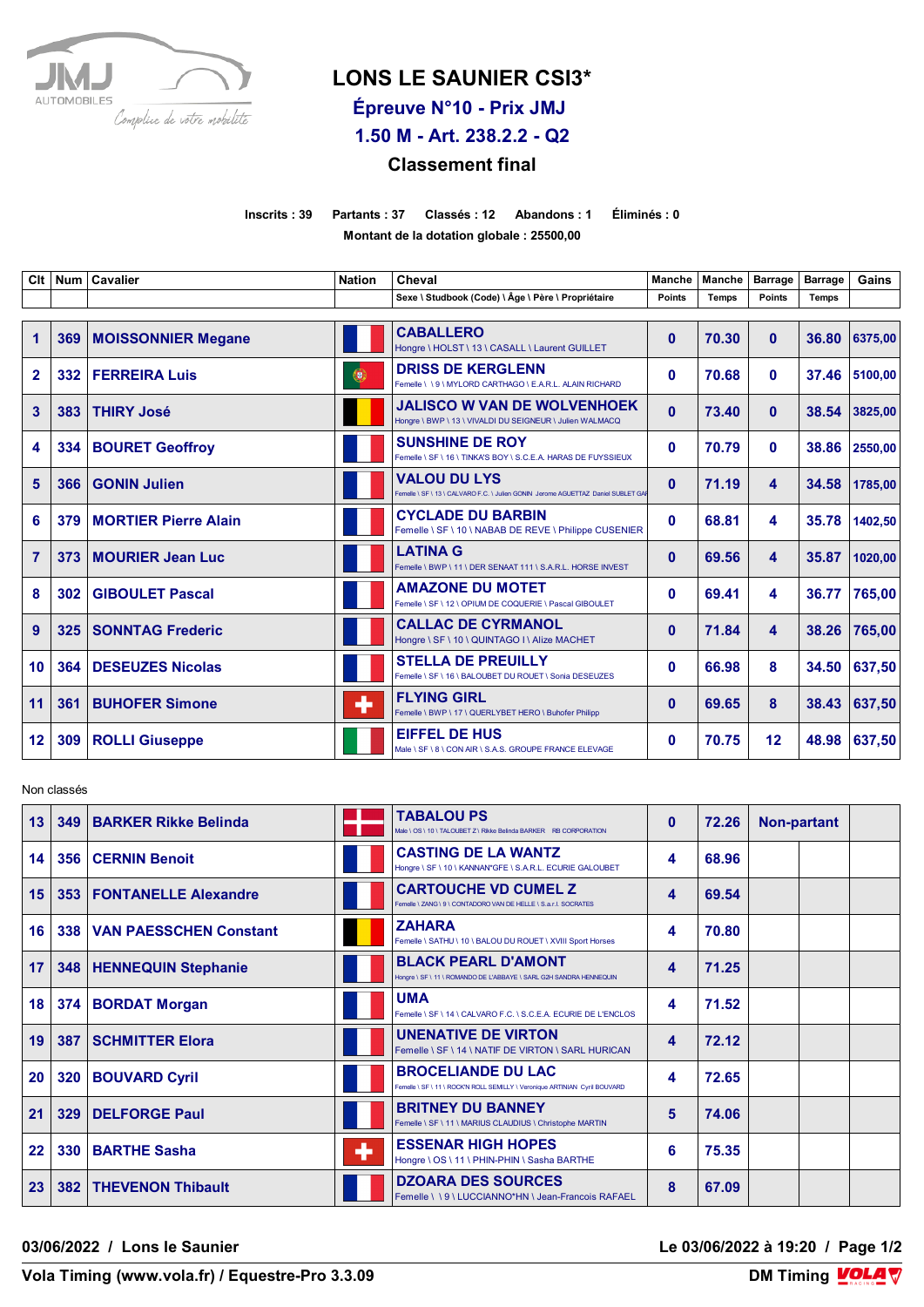

## **LONS LE SAUNIER CSI3\***

**Épreuve N°10 - Prix JMJ** 

**1.50 M - Art. 238.2.2 - Q2**

## **Classement final**

**Inscrits : 39 Partants : 37 Classés : 12 Abandons : 1 Éliminés : 0 Montant de la dotation globale : 25500,00**

| Clt            |     | Num   Cavalier              | <b>Nation</b> | Cheval                                                                                                  | <b>Manche</b> | <b>Manche</b> | <b>Barrage</b> | <b>Barrage</b> | Gains         |
|----------------|-----|-----------------------------|---------------|---------------------------------------------------------------------------------------------------------|---------------|---------------|----------------|----------------|---------------|
|                |     |                             |               | Sexe \ Studbook (Code) \ Âge \ Père \ Propriétaire                                                      | Points        | <b>Temps</b>  | <b>Points</b>  | <b>Temps</b>   |               |
| $\mathbf 1$    | 369 | <b>MOISSONNIER Megane</b>   |               | <b>CABALLERO</b><br>Hongre \ HOLST \ 13 \ CASALL \ Laurent GUILLET                                      | $\mathbf{0}$  | 70.30         | $\mathbf{0}$   | 36.80          | 6375,00       |
| $\overline{2}$ | 332 | <b>FERREIRA Luis</b>        | 0             | <b>DRISS DE KERGLENN</b><br>Femelle \\9\MYLORD CARTHAGO\E.A.R.L. ALAIN RICHARD                          | $\mathbf{0}$  | 70.68         | $\bf{0}$       |                | 37.46 5100,00 |
| 3              | 383 | <b>THIRY José</b>           |               | <b>JALISCO W VAN DE WOLVENHOEK</b><br>Hongre \ BWP \ 13 \ VIVALDI DU SEIGNEUR \ Julien WALMACQ          | $\mathbf{0}$  | 73.40         | $\mathbf{0}$   | 38.54          | 3825,00       |
| 4              | 334 | <b>BOURET Geoffroy</b>      |               | <b>SUNSHINE DE ROY</b><br>Femelle \ SF \ 16 \ TINKA'S BOY \ S.C.E.A. HARAS DE FUYSSIEUX                 | 0             | 70.79         | $\bf{0}$       |                | 38.86 2550,00 |
| 5              | 366 | <b>GONIN Julien</b>         |               | <b>VALOU DU LYS</b><br>Femelle \ SF \ 13 \ CALVARO F.C. \ Julien GONIN Jerome AGUETTAZ Daniel SUBLET GA | $\mathbf{0}$  | 71.19         | 4              | 34.58          | 1785,00       |
| 6              | 379 | <b>MORTIER Pierre Alain</b> |               | <b>CYCLADE DU BARBIN</b><br>Femelle \ SF \ 10 \ NABAB DE REVE \ Philippe CUSENIER                       | $\mathbf{0}$  | 68.81         | 4              | 35.78          | 1402,50       |
| 7              | 373 | MOURIER Jean Luc            |               | <b>LATINA G</b><br>Femelle \BWP \11 \DER SENAAT 111 \S.A.R.L. HORSE INVEST                              | $\mathbf{0}$  | 69.56         | 4              | 35.87          | 1020,00       |
| 8              | 302 | <b>GIBOULET Pascal</b>      |               | <b>AMAZONE DU MOTET</b><br>Femelle \ SF \ 12 \ OPIUM DE COQUERIE \ Pascal GIBOULET                      | 0             | 69.41         | 4              | 36.77          | 765.00        |
| $\overline{9}$ | 325 | <b>SONNTAG Frederic</b>     |               | <b>CALLAC DE CYRMANOL</b><br>Hongre \ SF \ 10 \ QUINTAGO I \ Alize MACHET                               | $\mathbf{0}$  | 71.84         | 4              |                | 38.26 765.00  |
| 10             | 364 | <b>DESEUZES Nicolas</b>     |               | <b>STELLA DE PREUILLY</b><br>Femelle \ SF \ 16 \ BALOUBET DU ROUET \ Sonia DESEUZES                     | 0             | 66.98         | 8              |                | 34.50 637.50  |
| 11             | 361 | <b>BUHOFER Simone</b>       | ٠             | <b>FLYING GIRL</b><br>Femelle \ BWP \ 17 \ QUERLYBET HERO \ Buhofer Philipp                             | $\mathbf{0}$  | 69.65         | 8              |                | 38.43 637,50  |
| 12             |     | 309 ROLLI Giuseppe          |               | <b>EIFFEL DE HUS</b><br>Male \ SF \ 8 \ CON AIR \ S.A.S. GROUPE FRANCE ELEVAGE                          | 0             | 70.75         | 12             |                | 48.98 637.50  |

Non classés

| 13      | 349 | <b>BARKER Rikke Belinda</b>   |   | <b>TABALOU PS</b><br>Male \ OS \ 10 \ TALOUBET Z \ Rikke Belinda BARKER RB CORPORATION                  | $\bf{0}$ | 72.26 | Non-partant |  |
|---------|-----|-------------------------------|---|---------------------------------------------------------------------------------------------------------|----------|-------|-------------|--|
| 14      | 356 | <b>CERNIN Benoit</b>          |   | <b>CASTING DE LA WANTZ</b><br>Hongre \ SF \ 10 \ KANNAN*GFE \ S.A.R.L. ECURIE GALOUBET                  | 4        | 68.96 |             |  |
| 15      |     | 353   FONTANELLE Alexandre    |   | <b>CARTOUCHE VD CUMEL Z</b><br>Femelle \ ZANG \ 9 \ CONTADORO VAN DE HELLE \ S.a.r.l. SOCRATES          | 4        | 69.54 |             |  |
| 16      | 338 | <b>VAN PAESSCHEN Constant</b> |   | <b>ZAHARA</b><br>Femelle \ SATHU \ 10 \ BALOU DU ROUET \ XVIII Sport Horses                             | 4        | 70.80 |             |  |
| 17      |     | 348   HENNEQUIN Stephanie     |   | <b>BLACK PEARL D'AMONT</b><br>Hongre \ SF \ 11 \ ROMANDO DE L'ABBAYE \ SARL G2H SANDRA HENNEQUIN        | 4        | 71.25 |             |  |
| 18      | 374 | <b>BORDAT Morgan</b>          |   | <b>UMA</b><br>Femelle \ SF \ 14 \ CALVARO F.C. \ S.C.E.A. ECURIE DE L'ENCLOS                            | 4        | 71.52 |             |  |
| 19      | 387 | <b>SCHMITTER Elora</b>        |   | <b>UNENATIVE DE VIRTON</b><br>Femelle \ SF \ 14 \ NATIF DE VIRTON \ SARL HURICAN                        | 4        | 72.12 |             |  |
| 20      |     | 320   BOUVARD Cyril           |   | <b>BROCELIANDE DU LAC</b><br>Femelle \ SF \ 11 \ ROCK'N ROLL SEMILLY \ Veronique ARTINIAN Cyril BOUVARD | 4        | 72.65 |             |  |
| 21      | 329 | <b>DELFORGE Paul</b>          |   | <b>BRITNEY DU BANNEY</b><br>Femelle \ SF \ 11 \ MARIUS CLAUDIUS \ Christophe MARTIN                     | 5        | 74.06 |             |  |
| $22 \,$ | 330 | <b>BARTHE Sasha</b>           | ٠ | <b>ESSENAR HIGH HOPES</b><br>Hongre \ OS \ 11 \ PHIN-PHIN \ Sasha BARTHE                                | 6        | 75.35 |             |  |
| 23      | 382 | <b>THEVENON Thibault</b>      |   | <b>DZOARA DES SOURCES</b><br>Femelle \\9\LUCCIANNO*HN\Jean-Francois RAFAEL                              | 8        | 67.09 |             |  |

**03/06/2022 / Lons le Saunier Le 03/06/2022 à 19:20 / Page 1/2**

Vola Timing (www.vola.fr) / Equestre-Pro 3.3.09

**DM Timing VOLA V**